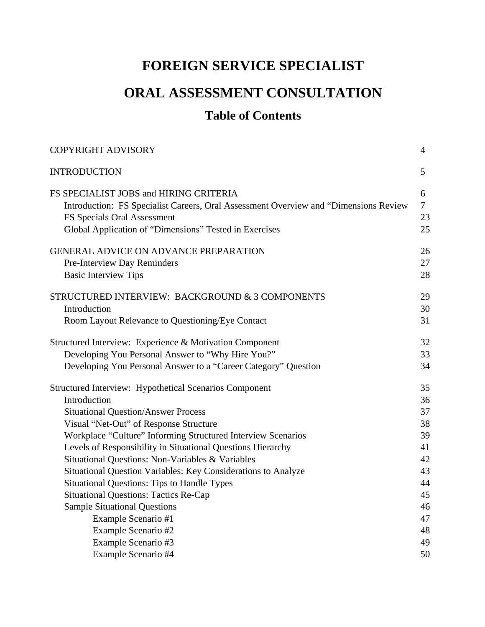## **FOREIGN SERVICE SPECIALIST**

## **ORAL ASSESSMENT CONSULTATION**

## **Table of Contents**

| <b>COPYRIGHT ADVISORY</b>                                                            | $\overline{4}$ |
|--------------------------------------------------------------------------------------|----------------|
| <b>INTRODUCTION</b>                                                                  | 5              |
| FS SPECIALIST JOBS and HIRING CRITERIA                                               | 6              |
| Introduction: FS Specialist Careers, Oral Assessment Overview and "Dimensions Review | $\tau$         |
| FS Specials Oral Assessment                                                          | 23             |
| Global Application of "Dimensions" Tested in Exercises                               | 25             |
| <b>GENERAL ADVICE ON ADVANCE PREPARATION</b>                                         | 26             |
| Pre-Interview Day Reminders                                                          | 27             |
| <b>Basic Interview Tips</b>                                                          | 28             |
| STRUCTURED INTERVIEW: BACKGROUND & 3 COMPONENTS                                      | 29             |
| Introduction                                                                         | 30             |
| Room Layout Relevance to Questioning/Eye Contact                                     | 31             |
| Structured Interview: Experience & Motivation Component                              | 32             |
| Developing You Personal Answer to "Why Hire You?"                                    | 33             |
| Developing You Personal Answer to a "Career Category" Question                       | 34             |
| <b>Structured Interview: Hypothetical Scenarios Component</b>                        | 35             |
| Introduction                                                                         | 36             |
| <b>Situational Question/Answer Process</b>                                           | 37             |
| Visual "Net-Out" of Response Structure                                               | 38             |
| Workplace "Culture" Informing Structured Interview Scenarios                         | 39             |
| Levels of Responsibility in Situational Questions Hierarchy                          | 41             |
| Situational Questions: Non-Variables & Variables                                     | 42             |
| Situational Question Variables: Key Considerations to Analyze                        | 43             |
| <b>Situational Questions: Tips to Handle Types</b>                                   | 44             |
| <b>Situational Questions: Tactics Re-Cap</b>                                         | 45             |
| <b>Sample Situational Questions</b>                                                  | 46             |
| Example Scenario #1                                                                  | 47             |
| Example Scenario #2                                                                  | 48             |
| Example Scenario #3                                                                  | 49             |
| Example Scenario #4                                                                  | 50             |